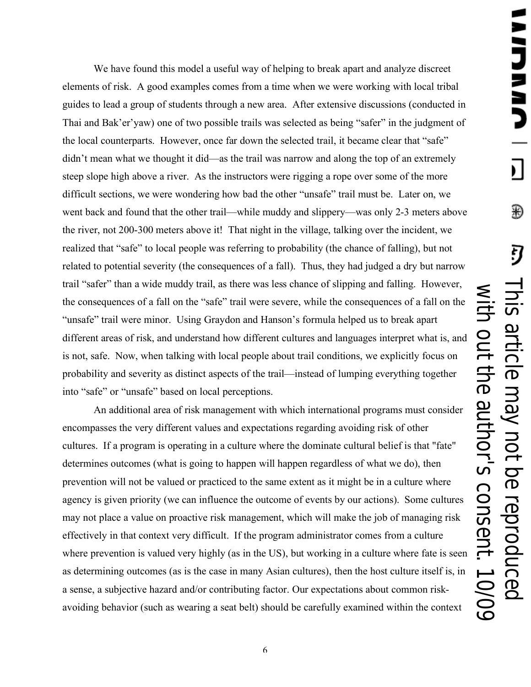We have found this model a useful way of helping to break apart and analyze discreet elements of risk. A good examples comes from a time when we were working with local tribal guides to lead a group of students through a new area. After extensive discussions (conducted in Thai and Bak'er'yaw) one of two possible trails was selected as being "safer" in the judgment of the local counterparts. However, once far down the selected trail, it became clear that "safe" didn't mean what we thought it did—as the trail was narrow and along the top of an extremely steep slope high above a river. As the instructors were rigging a rope over some of the more difficult sections, we were wondering how bad the other "unsafe" trail must be. Later on, we went back and found that the other trail—while muddy and slippery—was only 2-3 meters above the river, not 200-300 meters above it! That night in the village, talking over the incident, we realized that "safe" to local people was referring to probability (the chance of falling), but not related to potential severity (the consequences of a fall). Thus, they had judged a dry but narrow trail "safer" than a wide muddy trail, as there was less chance of slipping and falling. However, the consequences of a fall on the "safe" trail were severe, while the consequences of a fall on the "unsafe" trail were minor. Using Graydon and Hanson's formula helped us to break apart different areas of risk, and understand how different cultures and languages interpret what is, and is not, safe. Now, when talking with local people about trail conditions, we explicitly focus on probability and severity as distinct aspects of the trail—instead of lumping everything together into "safe" or "unsafe" based on local perceptions.

An additional area of risk management with which international programs must consider encompasses the very different values and expectations regarding avoiding risk of other cultures. If a program is operating in a culture where the dominate cultural belief is that "fate" determines outcomes (what is going to happen will happen regardless of what we do), then prevention will not be valued or practiced to the same extent as it might be in a culture where agency is given priority (we can influence the outcome of events by our actions). Some cultures may not place a value on proactive risk management, which will make the job of managing risk effectively in that context very difficult. If the program administrator comes from a culture where prevention is valued very highly (as in the US), but working in a culture where fate is seen as determining outcomes (as is the case in many Asian cultures), then the host culture itself is, in a sense, a subjective hazard and/or contributing factor. Our expectations about common riskavoiding behavior (such as wearing a seat belt) should be carefully examined within the context

6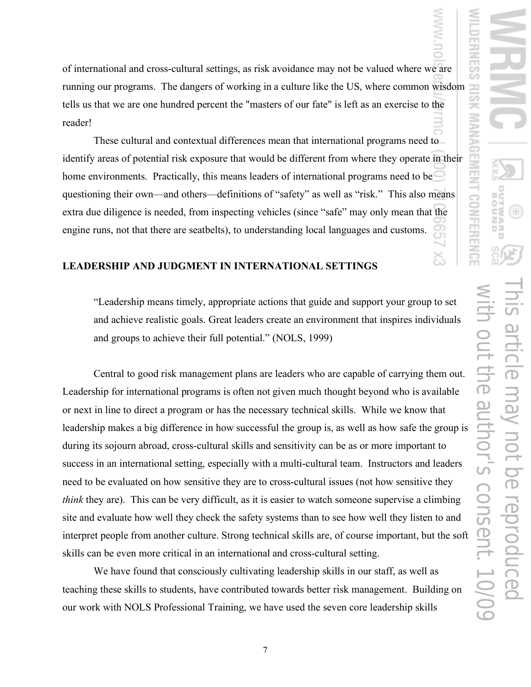of international and cross-cultural settings, as risk avoidance may not be valued where we are running our programs. The dangers of working in a culture like the US, where common wisdom tells us that we are one hundred percent the "masters of our fate" is left as an exercise to the reader!

These cultural and contextual differences mean that international programs need to identify areas of potential risk exposure that would be different from where they operate in their home environments. Practically, this means leaders of international programs need to be questioning their own—and others—definitions of "safety" as well as "risk." This also means extra due diligence is needed, from inspecting vehicles (since "safe" may only mean that the engine runs, not that there are seatbelts), to understanding local languages and customs.

#### **LEADERSHIP AND JUDGMENT IN INTERNATIONAL SETTINGS**

"Leadership means timely, appropriate actions that guide and support your group to set and achieve realistic goals. Great leaders create an environment that inspires individuals and groups to achieve their full potential." (NOLS, 1999)

Central to good risk management plans are leaders who are capable of carrying them out. Leadership for international programs is often not given much thought beyond who is available or next in line to direct a program or has the necessary technical skills. While we know that leadership makes a big difference in how successful the group is, as well as how safe the group is during its sojourn abroad, cross-cultural skills and sensitivity can be as or more important to success in an international setting, especially with a multi-cultural team. Instructors and leaders need to be evaluated on how sensitive they are to cross-cultural issues (not how sensitive they *think* they are). This can be very difficult, as it is easier to watch someone supervise a climbing site and evaluate how well they check the safety systems than to see how well they listen to and interpret people from another culture. Strong technical skills are, of course important, but the soft skills can be even more critical in an international and cross-cultural setting.

We have found that consciously cultivating leadership skills in our staff, as well as teaching these skills to students, have contributed towards better risk management. Building on our work with NOLS Professional Training, we have used the seven core leadership skills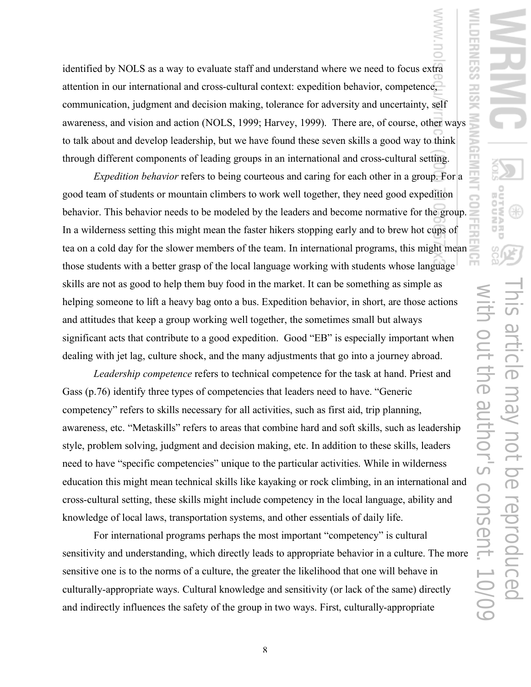identified by NOLS as a way to evaluate staff and understand where we need to focus extra attention in our international and cross-cultural context: expedition behavior, competence, communication, judgment and decision making, tolerance for adversity and uncertainty, self awareness, and vision and action (NOLS, 1999; Harvey, 1999). There are, of course, other ways to talk about and develop leadership, but we have found these seven skills a good way to think through different components of leading groups in an international and cross-cultural setting.

*Expedition behavior* refers to being courteous and caring for each other in a group. For a good team of students or mountain climbers to work well together, they need good expedition behavior. This behavior needs to be modeled by the leaders and become normative for the group. In a wilderness setting this might mean the faster hikers stopping early and to brew hot cups of tea on a cold day for the slower members of the team. In international programs, this might mean those students with a better grasp of the local language working with students whose language skills are not as good to help them buy food in the market. It can be something as simple as helping someone to lift a heavy bag onto a bus. Expedition behavior, in short, are those actions and attitudes that keep a group working well together, the sometimes small but always significant acts that contribute to a good expedition. Good "EB" is especially important when dealing with jet lag, culture shock, and the many adjustments that go into a journey abroad.

*Leadership competence* refers to technical competence for the task at hand. Priest and Gass (p.76) identify three types of competencies that leaders need to have. "Generic competency" refers to skills necessary for all activities, such as first aid, trip planning, awareness, etc. "Metaskills" refers to areas that combine hard and soft skills, such as leadership style, problem solving, judgment and decision making, etc. In addition to these skills, leaders need to have "specific competencies" unique to the particular activities. While in wilderness education this might mean technical skills like kayaking or rock climbing, in an international and cross-cultural setting, these skills might include competency in the local language, ability and knowledge of local laws, transportation systems, and other essentials of daily life.

For international programs perhaps the most important "competency" is cultural sensitivity and understanding, which directly leads to appropriate behavior in a culture. The more sensitive one is to the norms of a culture, the greater the likelihood that one will behave in culturally-appropriate ways. Cultural knowledge and sensitivity (or lack of the same) directly and indirectly influences the safety of the group in two ways. First, culturally-appropriate

8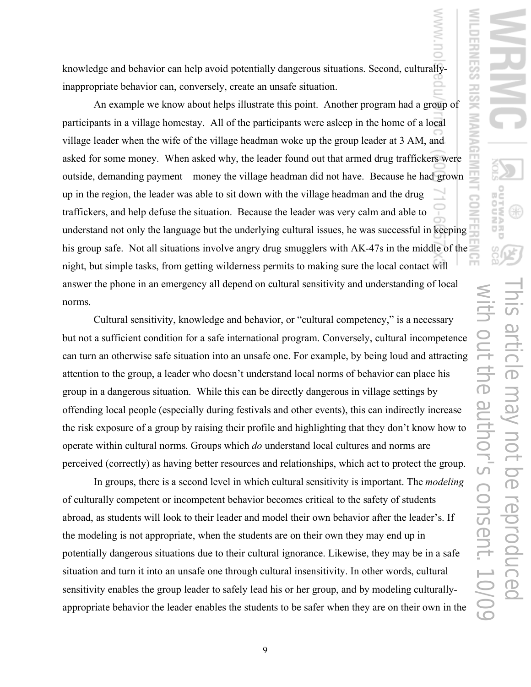knowledge and behavior can help avoid potentially dangerous situations. Second, culturallyinappropriate behavior can, conversely, create an unsafe situation.

An example we know about helps illustrate this point. Another program had a group of participants in a village homestay. All of the participants were asleep in the home of a local village leader when the wife of the village headman woke up the group leader at 3 AM, and asked for some money. When asked why, the leader found out that armed drug traffickers were outside, demanding payment—money the village headman did not have. Because he had grown up in the region, the leader was able to sit down with the village headman and the drug traffickers, and help defuse the situation. Because the leader was very calm and able to understand not only the language but the underlying cultural issues, he was successful in keeping his group safe. Not all situations involve angry drug smugglers with AK-47s in the middle of the night, but simple tasks, from getting wilderness permits to making sure the local contact will answer the phone in an emergency all depend on cultural sensitivity and understanding of local norms.

Cultural sensitivity, knowledge and behavior, or "cultural competency," is a necessary but not a sufficient condition for a safe international program. Conversely, cultural incompetence can turn an otherwise safe situation into an unsafe one. For example, by being loud and attracting attention to the group, a leader who doesn't understand local norms of behavior can place his group in a dangerous situation. While this can be directly dangerous in village settings by offending local people (especially during festivals and other events), this can indirectly increase the risk exposure of a group by raising their profile and highlighting that they don't know how to operate within cultural norms. Groups which *do* understand local cultures and norms are perceived (correctly) as having better resources and relationships, which act to protect the group.

In groups, there is a second level in which cultural sensitivity is important. The *modeling* of culturally competent or incompetent behavior becomes critical to the safety of students abroad, as students will look to their leader and model their own behavior after the leader's. If the modeling is not appropriate, when the students are on their own they may end up in potentially dangerous situations due to their cultural ignorance. Likewise, they may be in a safe situation and turn it into an unsafe one through cultural insensitivity. In other words, cultural sensitivity enables the group leader to safely lead his or her group, and by modeling culturallyappropriate behavior the leader enables the students to be safer when they are on their own in the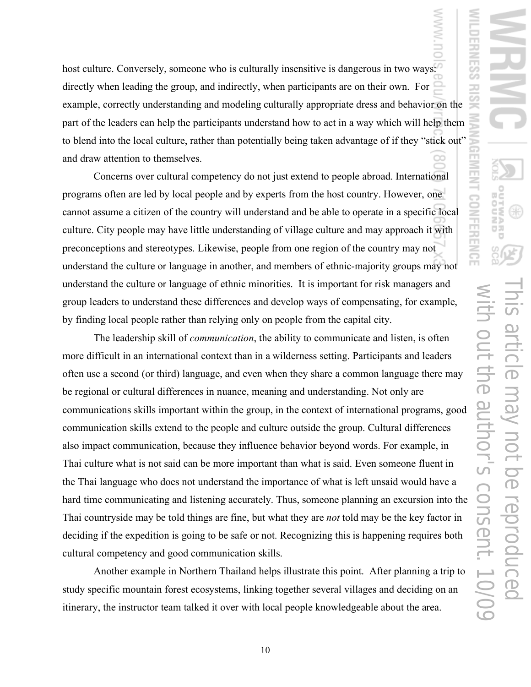host culture. Conversely, someone who is culturally insensitive is dangerous in two ways: directly when leading the group, and indirectly, when participants are on their own. For example, correctly understanding and modeling culturally appropriate dress and behavior on the part of the leaders can help the participants understand how to act in a way which will help them to blend into the local culture, rather than potentially being taken advantage of if they "stick out" and draw attention to themselves.

Concerns over cultural competency do not just extend to people abroad. International programs often are led by local people and by experts from the host country. However, one cannot assume a citizen of the country will understand and be able to operate in a specific local culture. City people may have little understanding of village culture and may approach it with preconceptions and stereotypes. Likewise, people from one region of the country may not understand the culture or language in another, and members of ethnic-majority groups may not understand the culture or language of ethnic minorities. It is important for risk managers and group leaders to understand these differences and develop ways of compensating, for example, by finding local people rather than relying only on people from the capital city.

The leadership skill of *communication*, the ability to communicate and listen, is often more difficult in an international context than in a wilderness setting. Participants and leaders often use a second (or third) language, and even when they share a common language there may be regional or cultural differences in nuance, meaning and understanding. Not only are communications skills important within the group, in the context of international programs, good communication skills extend to the people and culture outside the group. Cultural differences also impact communication, because they influence behavior beyond words. For example, in Thai culture what is not said can be more important than what is said. Even someone fluent in the Thai language who does not understand the importance of what is left unsaid would have a hard time communicating and listening accurately. Thus, someone planning an excursion into the Thai countryside may be told things are fine, but what they are *not* told may be the key factor in deciding if the expedition is going to be safe or not. Recognizing this is happening requires both cultural competency and good communication skills.

Another example in Northern Thailand helps illustrate this point. After planning a trip to study specific mountain forest ecosystems, linking together several villages and deciding on an itinerary, the instructor team talked it over with local people knowledgeable about the area.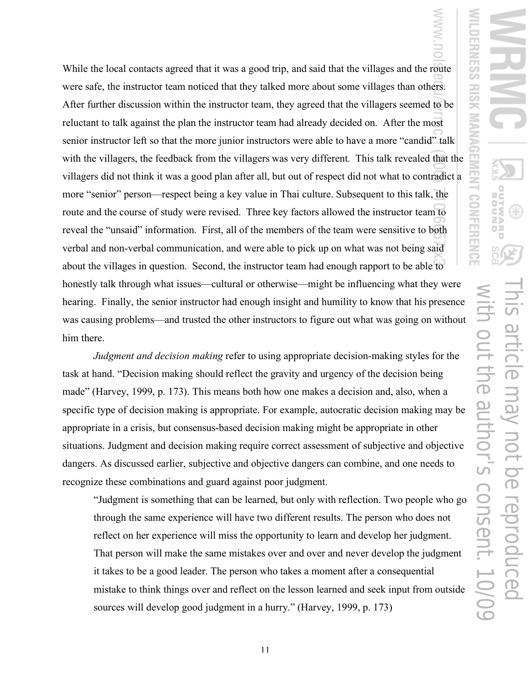While the local contacts agreed that it was a good trip, and said that the villages and the route were safe, the instructor team noticed that they talked more about some villages than others. After further discussion within the instructor team, they agreed that the villagers seemed to be reluctant to talk against the plan the instructor team had already decided on. After the most senior instructor left so that the more junior instructors were able to have a more "candid" talk with the villagers, the feedback from the villagers was very different. This talk revealed that the villagers did not think it was a good plan after all, but out of respect did not what to contradict a more "senior" person—respect being a key value in Thai culture. Subsequent to this talk, the route and the course of study were revised. Three key factors allowed the instructor team to reveal the "unsaid" information. First, all of the members of the team were sensitive to both verbal and non-verbal communication, and were able to pick up on what was not being said about the villages in question. Second, the instructor team had enough rapport to be able to honestly talk through what issues—cultural or otherwise—might be influencing what they were hearing. Finally, the senior instructor had enough insight and humility to know that his presence was causing problems—and trusted the other instructors to figure out what was going on without him there.

*Judgment and decision making* refer to using appropriate decision-making styles for the task at hand. "Decision making should reflect the gravity and urgency of the decision being made" (Harvey, 1999, p. 173). This means both how one makes a decision and, also, when a specific type of decision making is appropriate. For example, autocratic decision making may be appropriate in a crisis, but consensus-based decision making might be appropriate in other situations. Judgment and decision making require correct assessment of subjective and objective dangers. As discussed earlier, subjective and objective dangers can combine, and one needs to recognize these combinations and guard against poor judgment.

"Judgment is something that can be learned, but only with reflection. Two people who go through the same experience will have two different results. The person who does not reflect on her experience will miss the opportunity to learn and develop her judgment. That person will make the same mistakes over and over and never develop the judgment it takes to be a good leader. The person who takes a moment after a consequential mistake to think things over and reflect on the lesson learned and seek input from outside sources will develop good judgment in a hurry." (Harvey, 1999, p. 173)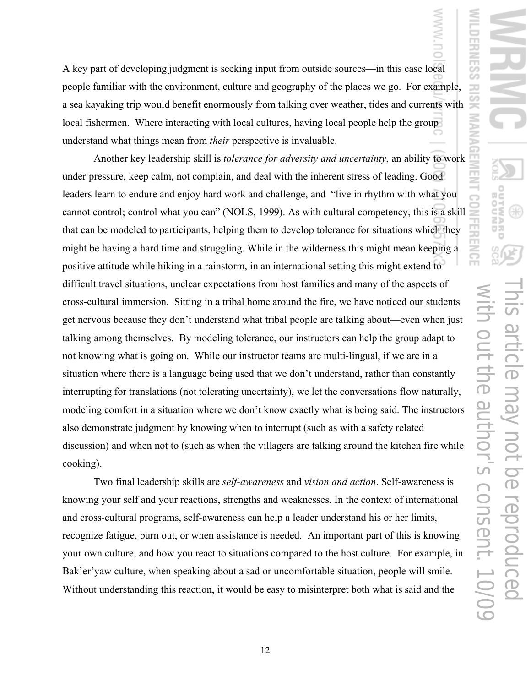A key part of developing judgment is seeking input from outside sources—in this case local people familiar with the environment, culture and geography of the places we go. For example, a sea kayaking trip would benefit enormously from talking over weather, tides and currents with local fishermen. Where interacting with local cultures, having local people help the group understand what things mean from *their* perspective is invaluable.

Another key leadership skill is *tolerance for adversity and uncertainty*, an ability to work under pressure, keep calm, not complain, and deal with the inherent stress of leading. Good leaders learn to endure and enjoy hard work and challenge, and "live in rhythm with what you cannot control; control what you can" (NOLS, 1999). As with cultural competency, this is a skill that can be modeled to participants, helping them to develop tolerance for situations which they might be having a hard time and struggling. While in the wilderness this might mean keeping a positive attitude while hiking in a rainstorm, in an international setting this might extend to difficult travel situations, unclear expectations from host families and many of the aspects of cross-cultural immersion. Sitting in a tribal home around the fire, we have noticed our students get nervous because they don't understand what tribal people are talking about—even when just talking among themselves. By modeling tolerance, our instructors can help the group adapt to not knowing what is going on. While our instructor teams are multi-lingual, if we are in a situation where there is a language being used that we don't understand, rather than constantly interrupting for translations (not tolerating uncertainty), we let the conversations flow naturally, modeling comfort in a situation where we don't know exactly what is being said. The instructors also demonstrate judgment by knowing when to interrupt (such as with a safety related discussion) and when not to (such as when the villagers are talking around the kitchen fire while cooking).

Two final leadership skills are *self-awareness* and *vision and action*. Self-awareness is knowing your self and your reactions, strengths and weaknesses. In the context of international and cross-cultural programs, self-awareness can help a leader understand his or her limits, recognize fatigue, burn out, or when assistance is needed. An important part of this is knowing your own culture, and how you react to situations compared to the host culture. For example, in Bak'er'yaw culture, when speaking about a sad or uncomfortable situation, people will smile. Without understanding this reaction, it would be easy to misinterpret both what is said and the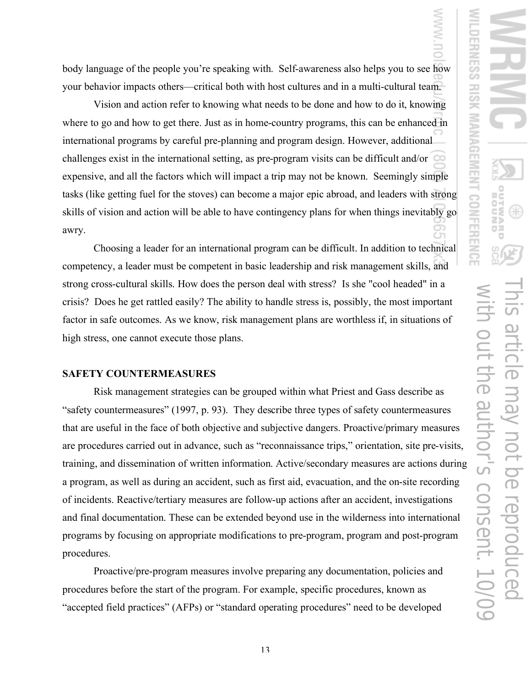body language of the people you're speaking with. Self-awareness also helps you to see how your behavior impacts others—critical both with host cultures and in a multi-cultural team.

Vision and action refer to knowing what needs to be done and how to do it, knowing where to go and how to get there. Just as in home-country programs, this can be enhanced in international programs by careful pre-planning and program design. However, additional challenges exist in the international setting, as pre-program visits can be difficult and/or expensive, and all the factors which will impact a trip may not be known. Seemingly simple tasks (like getting fuel for the stoves) can become a major epic abroad, and leaders with strong skills of vision and action will be able to have contingency plans for when things inevitably go awry.

Choosing a leader for an international program can be difficult. In addition to technical competency, a leader must be competent in basic leadership and risk management skills, and strong cross-cultural skills. How does the person deal with stress? Is she "cool headed" in a crisis? Does he get rattled easily? The ability to handle stress is, possibly, the most important factor in safe outcomes. As we know, risk management plans are worthless if, in situations of high stress, one cannot execute those plans.

### **SAFETY COUNTERMEASURES**

Risk management strategies can be grouped within what Priest and Gass describe as "safety countermeasures" (1997, p. 93). They describe three types of safety countermeasures that are useful in the face of both objective and subjective dangers. Proactive/primary measures are procedures carried out in advance, such as "reconnaissance trips," orientation, site pre-visits, training, and dissemination of written information. Active/secondary measures are actions during a program, as well as during an accident, such as first aid, evacuation, and the on-site recording of incidents. Reactive/tertiary measures are follow-up actions after an accident, investigations and final documentation. These can be extended beyond use in the wilderness into international programs by focusing on appropriate modifications to pre-program, program and post-program procedures.

Proactive/pre-program measures involve preparing any documentation, policies and procedures before the start of the program. For example, specific procedures, known as "accepted field practices" (AFPs) or "standard operating procedures" need to be developed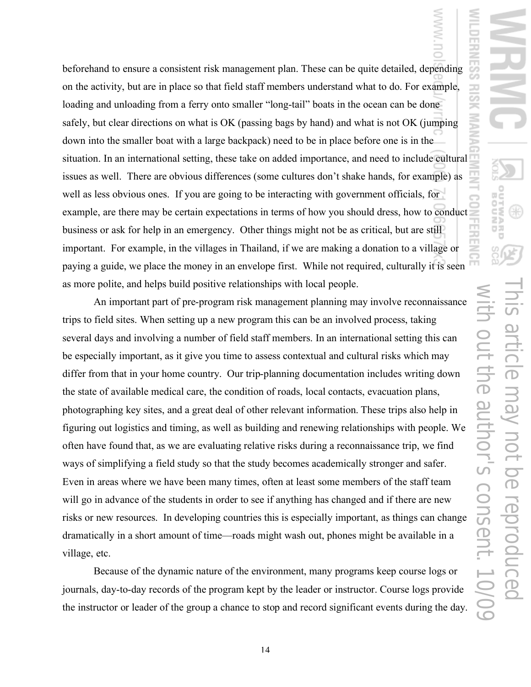beforehand to ensure a consistent risk management plan. These can be quite detailed, depending on the activity, but are in place so that field staff members understand what to do. For example, loading and unloading from a ferry onto smaller "long-tail" boats in the ocean can be done safely, but clear directions on what is OK (passing bags by hand) and what is not OK (jumping down into the smaller boat with a large backpack) need to be in place before one is in the situation. In an international setting, these take on added importance, and need to include cultural issues as well. There are obvious differences (some cultures don't shake hands, for example) as well as less obvious ones. If you are going to be interacting with government officials, for example, are there may be certain expectations in terms of how you should dress, how to conduct business or ask for help in an emergency. Other things might not be as critical, but are still important. For example, in the villages in Thailand, if we are making a donation to a village or paying a guide, we place the money in an envelope first. While not required, culturally it is seen as more polite, and helps build positive relationships with local people.

An important part of pre-program risk management planning may involve reconnaissance trips to field sites. When setting up a new program this can be an involved process, taking several days and involving a number of field staff members. In an international setting this can be especially important, as it give you time to assess contextual and cultural risks which may differ from that in your home country. Our trip-planning documentation includes writing down the state of available medical care, the condition of roads, local contacts, evacuation plans, photographing key sites, and a great deal of other relevant information. These trips also help in figuring out logistics and timing, as well as building and renewing relationships with people. We often have found that, as we are evaluating relative risks during a reconnaissance trip, we find ways of simplifying a field study so that the study becomes academically stronger and safer. Even in areas where we have been many times, often at least some members of the staff team will go in advance of the students in order to see if anything has changed and if there are new risks or new resources. In developing countries this is especially important, as things can change dramatically in a short amount of time—roads might wash out, phones might be available in a village, etc.

Because of the dynamic nature of the environment, many programs keep course logs or journals, day-to-day records of the program kept by the leader or instructor. Course logs provide the instructor or leader of the group a chance to stop and record significant events during the day.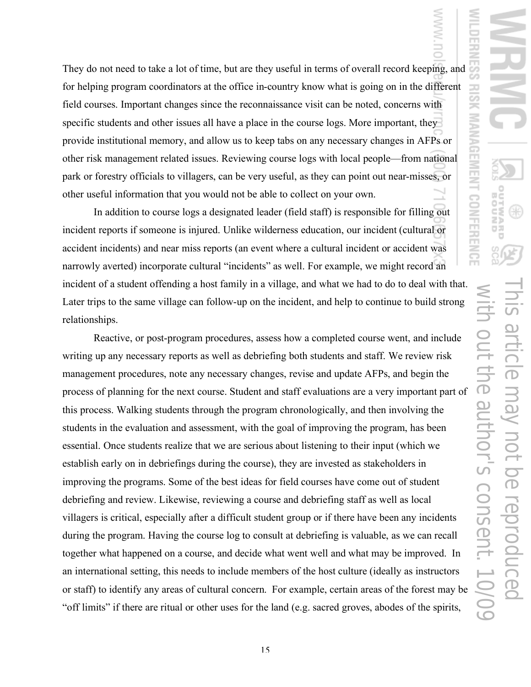They do not need to take a lot of time, but are they useful in terms of overall record keeping, and for helping program coordinators at the office in-country know what is going on in the different field courses. Important changes since the reconnaissance visit can be noted, concerns with specific students and other issues all have a place in the course logs. More important, they provide institutional memory, and allow us to keep tabs on any necessary changes in AFPs or other risk management related issues. Reviewing course logs with local people—from national park or forestry officials to villagers, can be very useful, as they can point out near-misses, or other useful information that you would not be able to collect on your own.

In addition to course logs a designated leader (field staff) is responsible for filling out incident reports if someone is injured. Unlike wilderness education, our incident (cultural or accident incidents) and near miss reports (an event where a cultural incident or accident was narrowly averted) incorporate cultural "incidents" as well. For example, we might record an incident of a student offending a host family in a village, and what we had to do to deal with that. Later trips to the same village can follow-up on the incident, and help to continue to build strong relationships.

Reactive, or post-program procedures, assess how a completed course went, and include writing up any necessary reports as well as debriefing both students and staff. We review risk management procedures, note any necessary changes, revise and update AFPs, and begin the process of planning for the next course. Student and staff evaluations are a very important part of this process. Walking students through the program chronologically, and then involving the students in the evaluation and assessment, with the goal of improving the program, has been essential. Once students realize that we are serious about listening to their input (which we establish early on in debriefings during the course), they are invested as stakeholders in improving the programs. Some of the best ideas for field courses have come out of student debriefing and review. Likewise, reviewing a course and debriefing staff as well as local villagers is critical, especially after a difficult student group or if there have been any incidents during the program. Having the course log to consult at debriefing is valuable, as we can recall together what happened on a course, and decide what went well and what may be improved. In an international setting, this needs to include members of the host culture (ideally as instructors or staff) to identify any areas of cultural concern. For example, certain areas of the forest may be "off limits" if there are ritual or other uses for the land (e.g. sacred groves, abodes of the spirits,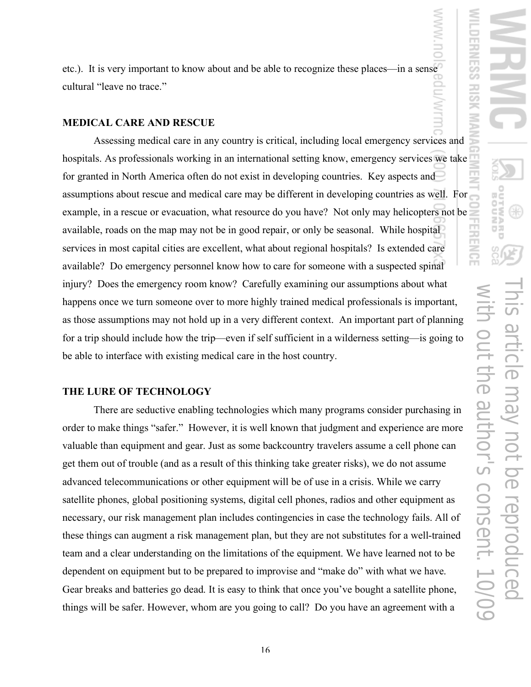etc.). It is very important to know about and be able to recognize these places—in a sense cultural "leave no trace."

#### **MEDICAL CARE AND RESCUE**

Assessing medical care in any country is critical, including local emergency services and hospitals. As professionals working in an international setting know, emergency services we take for granted in North America often do not exist in developing countries. Key aspects and assumptions about rescue and medical care may be different in developing countries as well. For example, in a rescue or evacuation, what resource do you have? Not only may helicopters not be available, roads on the map may not be in good repair, or only be seasonal. While hospital services in most capital cities are excellent, what about regional hospitals? Is extended care available? Do emergency personnel know how to care for someone with a suspected spinal injury? Does the emergency room know? Carefully examining our assumptions about what happens once we turn someone over to more highly trained medical professionals is important, as those assumptions may not hold up in a very different context. An important part of planning for a trip should include how the trip—even if self sufficient in a wilderness setting—is going to be able to interface with existing medical care in the host country.

## **THE LURE OF TECHNOLOGY**

There are seductive enabling technologies which many programs consider purchasing in order to make things "safer." However, it is well known that judgment and experience are more valuable than equipment and gear. Just as some backcountry travelers assume a cell phone can get them out of trouble (and as a result of this thinking take greater risks), we do not assume advanced telecommunications or other equipment will be of use in a crisis. While we carry satellite phones, global positioning systems, digital cell phones, radios and other equipment as necessary, our risk management plan includes contingencies in case the technology fails. All of these things can augment a risk management plan, but they are not substitutes for a well-trained team and a clear understanding on the limitations of the equipment. We have learned not to be dependent on equipment but to be prepared to improvise and "make do" with what we have. Gear breaks and batteries go dead. It is easy to think that once you've bought a satellite phone, things will be safer. However, whom are you going to call? Do you have an agreement with a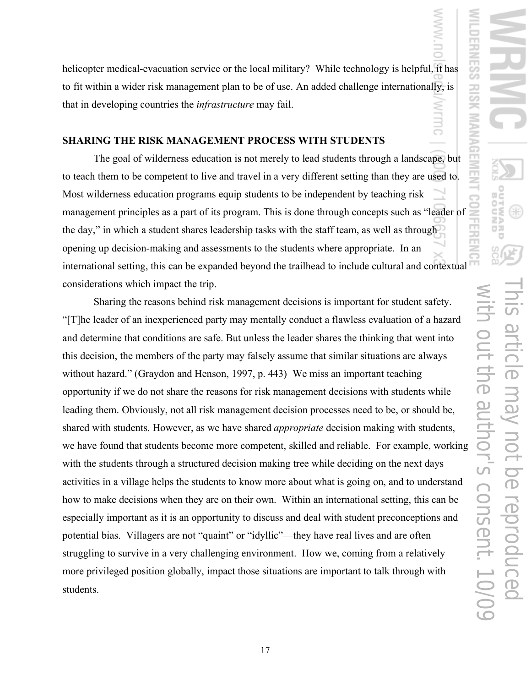helicopter medical-evacuation service or the local military? While technology is helpful, it has to fit within a wider risk management plan to be of use. An added challenge internationally, is that in developing countries the *infrastructure* may fail.

### **SHARING THE RISK MANAGEMENT PROCESS WITH STUDENTS**

The goal of wilderness education is not merely to lead students through a landscape, but to teach them to be competent to live and travel in a very different setting than they are used to. Most wilderness education programs equip students to be independent by teaching risk management principles as a part of its program. This is done through concepts such as "leader of the day," in which a student shares leadership tasks with the staff team, as well as through opening up decision-making and assessments to the students where appropriate. In an international setting, this can be expanded beyond the trailhead to include cultural and contextual considerations which impact the trip.

Sharing the reasons behind risk management decisions is important for student safety. "[T]he leader of an inexperienced party may mentally conduct a flawless evaluation of a hazard and determine that conditions are safe. But unless the leader shares the thinking that went into this decision, the members of the party may falsely assume that similar situations are always without hazard." (Graydon and Henson, 1997, p. 443) We miss an important teaching opportunity if we do not share the reasons for risk management decisions with students while leading them. Obviously, not all risk management decision processes need to be, or should be, shared with students. However, as we have shared *appropriate* decision making with students, we have found that students become more competent, skilled and reliable. For example, working with the students through a structured decision making tree while deciding on the next days activities in a village helps the students to know more about what is going on, and to understand how to make decisions when they are on their own. Within an international setting, this can be especially important as it is an opportunity to discuss and deal with student preconceptions and potential bias. Villagers are not "quaint" or "idyllic"—they have real lives and are often struggling to survive in a very challenging environment. How we, coming from a relatively more privileged position globally, impact those situations are important to talk through with students.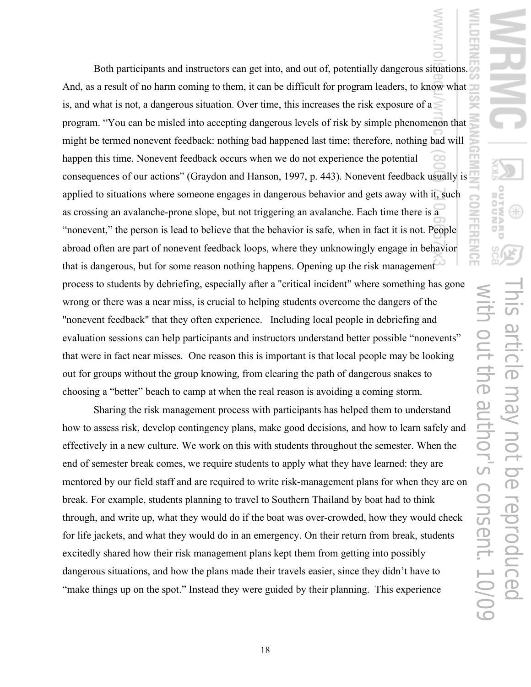Both participants and instructors can get into, and out of, potentially dangerous situations. And, as a result of no harm coming to them, it can be difficult for program leaders, to know what is, and what is not, a dangerous situation. Over time, this increases the risk exposure of a program. "You can be misled into accepting dangerous levels of risk by simple phenomenon that might be termed nonevent feedback: nothing bad happened last time; therefore, nothing bad will happen this time. Nonevent feedback occurs when we do not experience the potential consequences of our actions" (Graydon and Hanson, 1997, p. 443). Nonevent feedback usually is applied to situations where someone engages in dangerous behavior and gets away with it, such as crossing an avalanche-prone slope, but not triggering an avalanche. Each time there is a "nonevent," the person is lead to believe that the behavior is safe, when in fact it is not. People abroad often are part of nonevent feedback loops, where they unknowingly engage in behavior that is dangerous, but for some reason nothing happens. Opening up the risk management process to students by debriefing, especially after a "critical incident" where something has gone wrong or there was a near miss, is crucial to helping students overcome the dangers of the "nonevent feedback" that they often experience. Including local people in debriefing and evaluation sessions can help participants and instructors understand better possible "nonevents" that were in fact near misses. One reason this is important is that local people may be looking out for groups without the group knowing, from clearing the path of dangerous snakes to choosing a "better" beach to camp at when the real reason is avoiding a coming storm.

Sharing the risk management process with participants has helped them to understand how to assess risk, develop contingency plans, make good decisions, and how to learn safely and effectively in a new culture. We work on this with students throughout the semester. When the end of semester break comes, we require students to apply what they have learned: they are mentored by our field staff and are required to write risk-management plans for when they are on break. For example, students planning to travel to Southern Thailand by boat had to think through, and write up, what they would do if the boat was over-crowded, how they would check for life jackets, and what they would do in an emergency. On their return from break, students excitedly shared how their risk management plans kept them from getting into possibly dangerous situations, and how the plans made their travels easier, since they didn't have to "make things up on the spot." Instead they were guided by their planning. This experience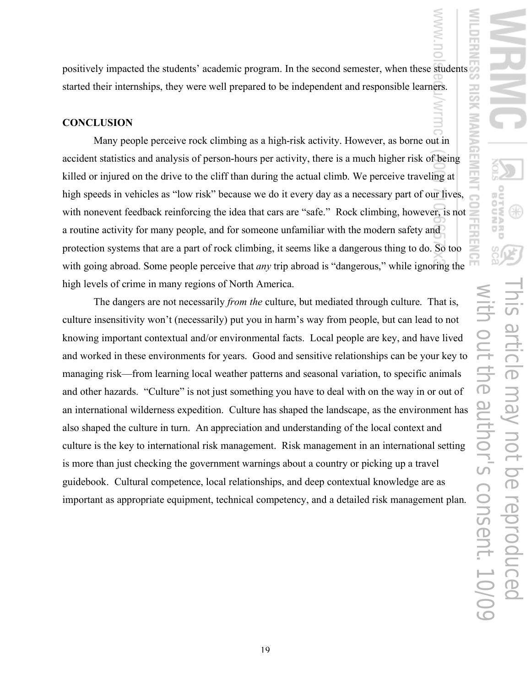positively impacted the students' academic program. In the second semester, when these students started their internships, they were well prepared to be independent and responsible learners.

#### **CONCLUSION**

Many people perceive rock climbing as a high-risk activity. However, as borne out in accident statistics and analysis of person-hours per activity, there is a much higher risk of being killed or injured on the drive to the cliff than during the actual climb. We perceive traveling at high speeds in vehicles as "low risk" because we do it every day as a necessary part of our lives, with nonevent feedback reinforcing the idea that cars are "safe." Rock climbing, however, is not a routine activity for many people, and for someone unfamiliar with the modern safety and protection systems that are a part of rock climbing, it seems like a dangerous thing to do. So too with going abroad. Some people perceive that *any* trip abroad is "dangerous," while ignoring the high levels of crime in many regions of North America.

The dangers are not necessarily *from the* culture, but mediated through culture. That is, culture insensitivity won't (necessarily) put you in harm's way from people, but can lead to not knowing important contextual and/or environmental facts. Local people are key, and have lived and worked in these environments for years. Good and sensitive relationships can be your key to managing risk—from learning local weather patterns and seasonal variation, to specific animals and other hazards. "Culture" is not just something you have to deal with on the way in or out of an international wilderness expedition. Culture has shaped the landscape, as the environment has also shaped the culture in turn. An appreciation and understanding of the local context and culture is the key to international risk management. Risk management in an international setting is more than just checking the government warnings about a country or picking up a travel guidebook. Cultural competence, local relationships, and deep contextual knowledge are as important as appropriate equipment, technical competency, and a detailed risk management plan.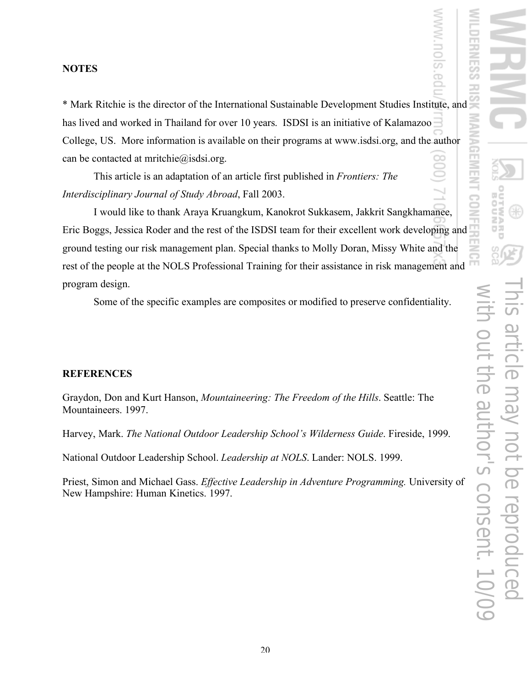## **NOTES**

\* Mark Ritchie is the director of the International Sustainable Development Studies Institute, and has lived and worked in Thailand for over 10 years. ISDSI is an initiative of Kalamazoo College, US. More information is available on their programs at www.isdsi.org, and the author can be contacted at mritchie@isdsi.org.

This article is an adaptation of an article first published in *Frontiers: The Interdisciplinary Journal of Study Abroad*, Fall 2003.

I would like to thank Araya Kruangkum, Kanokrot Sukkasem, Jakkrit Sangkhamanee, Eric Boggs, Jessica Roder and the rest of the ISDSI team for their excellent work developing and ground testing our risk management plan. Special thanks to Molly Doran, Missy White and the rest of the people at the NOLS Professional Training for their assistance in risk management and program design.

Some of the specific examples are composites or modified to preserve confidentiality.

# **REFERENCES**

Graydon, Don and Kurt Hanson, *Mountaineering: The Freedom of the Hills*. Seattle: The Mountaineers. 1997.

Harvey, Mark. *The National Outdoor Leadership School's Wilderness Guide*. Fireside, 1999.

National Outdoor Leadership School. *Leadership at NOLS*. Lander: NOLS. 1999.

Priest, Simon and Michael Gass. *Effective Leadership in Adventure Programming.* University of New Hampshire: Human Kinetics. 1997.

ò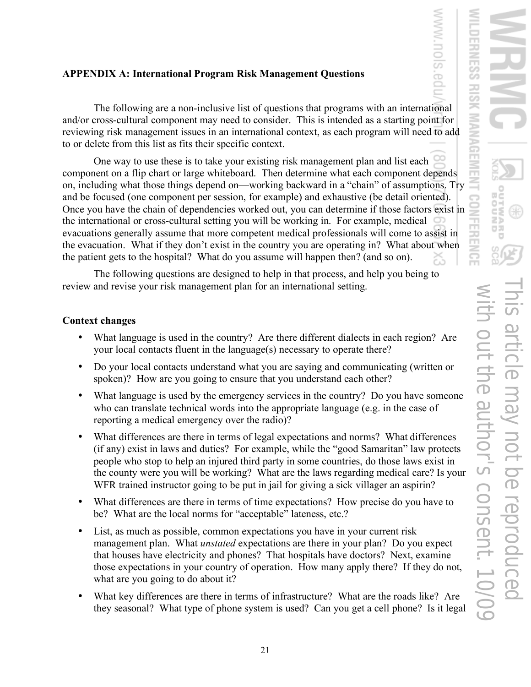# **APPENDIX A: International Program Risk Management Questions**

The following are a non-inclusive list of questions that programs with an international and/or cross-cultural component may need to consider. This is intended as a starting point for reviewing risk management issues in an international context, as each program will need to add to or delete from this list as fits their specific context.

One way to use these is to take your existing risk management plan and list each component on a flip chart or large whiteboard. Then determine what each component depends on, including what those things depend on—working backward in a "chain" of assumptions. Try and be focused (one component per session, for example) and exhaustive (be detail oriented). Once you have the chain of dependencies worked out, you can determine if those factors exist in the international or cross-cultural setting you will be working in. For example, medical evacuations generally assume that more competent medical professionals will come to assist in the evacuation. What if they don't exist in the country you are operating in? What about when the patient gets to the hospital? What do you assume will happen then? (and so on).

The following questions are designed to help in that process, and help you being to review and revise your risk management plan for an international setting.

# **Context changes**

- What language is used in the country? Are there different dialects in each region? Are your local contacts fluent in the language(s) necessary to operate there?
- Do your local contacts understand what you are saying and communicating (written or spoken)? How are you going to ensure that you understand each other?
- What language is used by the emergency services in the country? Do you have someone who can translate technical words into the appropriate language (e.g. in the case of reporting a medical emergency over the radio)?
- What differences are there in terms of legal expectations and norms? What differences (if any) exist in laws and duties? For example, while the "good Samaritan" law protects people who stop to help an injured third party in some countries, do those laws exist in the county were you will be working? What are the laws regarding medical care? Is your WFR trained instructor going to be put in jail for giving a sick villager an aspirin?
- What differences are there in terms of time expectations? How precise do you have to be? What are the local norms for "acceptable" lateness, etc.?
- List, as much as possible, common expectations you have in your current risk management plan. What *unstated* expectations are there in your plan? Do you expect that houses have electricity and phones? That hospitals have doctors? Next, examine those expectations in your country of operation. How many apply there? If they do not, what are you going to do about it?
- What key differences are there in terms of infrastructure? What are the roads like? Are they seasonal? What type of phone system is used? Can you get a cell phone? Is it legal

ò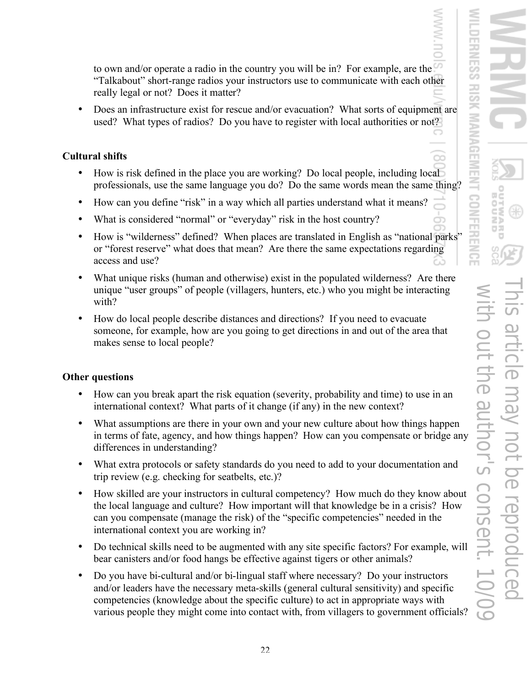to own and/or operate a radio in the country you will be in? For example, are the "Talkabout" short-range radios your instructors use to communicate with each other really legal or not? Does it matter?

• Does an infrastructure exist for rescue and/or evacuation? What sorts of equipment are used? What types of radios? Do you have to register with local authorities or not?

## **Cultural shifts**

- How is risk defined in the place you are working? Do local people, including local professionals, use the same language you do? Do the same words mean the same thing?
- How can you define "risk" in a way which all parties understand what it means?
- What is considered "normal" or "everyday" risk in the host country?
- How is "wilderness" defined? When places are translated in English as "national parks" or "forest reserve" what does that mean? Are there the same expectations regarding access and use?
- What unique risks (human and otherwise) exist in the populated wilderness? Are there unique "user groups" of people (villagers, hunters, etc.) who you might be interacting with?
- How do local people describe distances and directions? If you need to evacuate someone, for example, how are you going to get directions in and out of the area that makes sense to local people?

# **Other questions**

- How can you break apart the risk equation (severity, probability and time) to use in an international context? What parts of it change (if any) in the new context?
- What assumptions are there in your own and your new culture about how things happen in terms of fate, agency, and how things happen? How can you compensate or bridge any differences in understanding?
- What extra protocols or safety standards do you need to add to your documentation and trip review (e.g. checking for seatbelts, etc.)?
- How skilled are your instructors in cultural competency? How much do they know about the local language and culture? How important will that knowledge be in a crisis? How can you compensate (manage the risk) of the "specific competencies" needed in the international context you are working in?
- Do technical skills need to be augmented with any site specific factors? For example, will bear canisters and/or food hangs be effective against tigers or other animals?
- Do you have bi-cultural and/or bi-lingual staff where necessary? Do your instructors and/or leaders have the necessary meta-skills (general cultural sensitivity) and specific competencies (knowledge about the specific culture) to act in appropriate ways with various people they might come into contact with, from villagers to government officials?